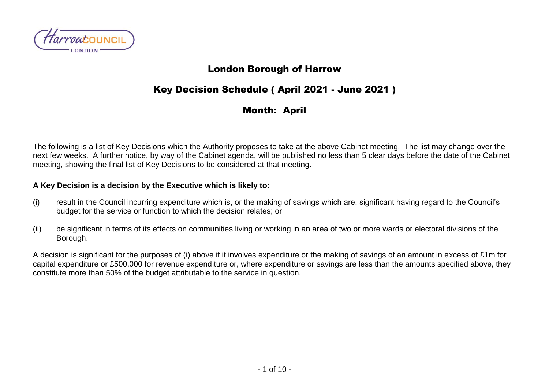

### London Borough of Harrow

# Key Decision Schedule ( April 2021 - June 2021 )

## Month: April

The following is a list of Key Decisions which the Authority proposes to take at the above Cabinet meeting. The list may change over the next few weeks. A further notice, by way of the Cabinet agenda, will be published no less than 5 clear days before the date of the Cabinet meeting, showing the final list of Key Decisions to be considered at that meeting.

#### **A Key Decision is a decision by the Executive which is likely to:**

- (i) result in the Council incurring expenditure which is, or the making of savings which are, significant having regard to the Council's budget for the service or function to which the decision relates; or
- (ii) be significant in terms of its effects on communities living or working in an area of two or more wards or electoral divisions of the Borough.

A decision is significant for the purposes of (i) above if it involves expenditure or the making of savings of an amount in excess of £1m for capital expenditure or £500,000 for revenue expenditure or, where expenditure or savings are less than the amounts specified above, they constitute more than 50% of the budget attributable to the service in question.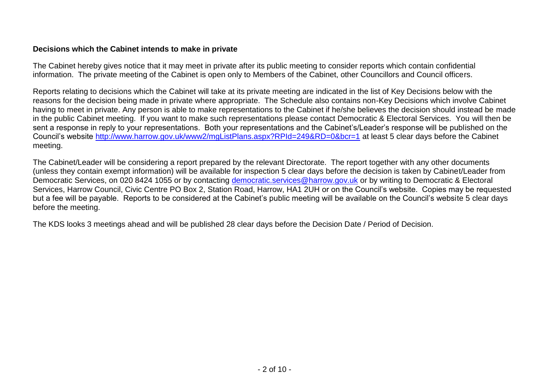#### **Decisions which the Cabinet intends to make in private**

The Cabinet hereby gives notice that it may meet in private after its public meeting to consider reports which contain confidential information. The private meeting of the Cabinet is open only to Members of the Cabinet, other Councillors and Council officers.

Reports relating to decisions which the Cabinet will take at its private meeting are indicated in the list of Key Decisions below with the reasons for the decision being made in private where appropriate. The Schedule also contains non-Key Decisions which involve Cabinet having to meet in private. Any person is able to make representations to the Cabinet if he/she believes the decision should instead be made in the public Cabinet meeting. If you want to make such representations please contact Democratic & Electoral Services. You will then be sent a response in reply to your representations. Both your representations and the Cabinet's/Leader's response will be published on the Council's website<http://www.harrow.gov.uk/www2/mgListPlans.aspx?RPId=249&RD=0&bcr=1> at least 5 clear days before the Cabinet meeting.

The Cabinet/Leader will be considering a report prepared by the relevant Directorate. The report together with any other documents (unless they contain exempt information) will be available for inspection 5 clear days before the decision is taken by Cabinet/Leader from Democratic Services, on 020 8424 1055 or by contacting [democratic.services@harrow.gov.uk](mailto:democratic.services@harrow.gov.uk) or by writing to Democratic & Electoral Services, Harrow Council, Civic Centre PO Box 2, Station Road, Harrow, HA1 2UH or on the Council's website. Copies may be requested but a fee will be payable. Reports to be considered at the Cabinet's public meeting will be available on the Council's website 5 clear days before the meeting.

The KDS looks 3 meetings ahead and will be published 28 clear days before the Decision Date / Period of Decision.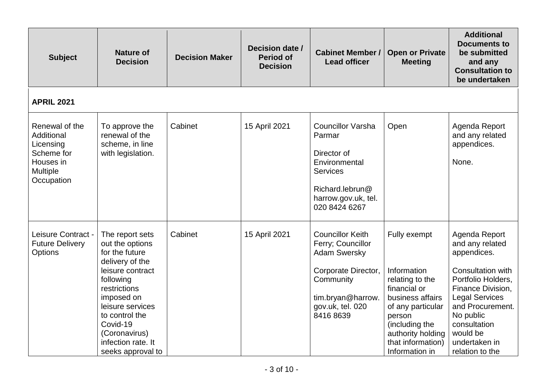| <b>Subject</b>                                                                                 | <b>Nature of</b><br><b>Decision</b>                                                                                                                                                                                                                  | <b>Decision Maker</b> | Decision date /<br><b>Period of</b><br><b>Decision</b> | <b>Cabinet Member /</b><br><b>Lead officer</b>                                                                                                                | <b>Open or Private</b><br><b>Meeting</b>                                                                                                                                                        | <b>Additional</b><br><b>Documents to</b><br>be submitted<br>and any<br><b>Consultation to</b><br>be undertaken                                                                                                                            |
|------------------------------------------------------------------------------------------------|------------------------------------------------------------------------------------------------------------------------------------------------------------------------------------------------------------------------------------------------------|-----------------------|--------------------------------------------------------|---------------------------------------------------------------------------------------------------------------------------------------------------------------|-------------------------------------------------------------------------------------------------------------------------------------------------------------------------------------------------|-------------------------------------------------------------------------------------------------------------------------------------------------------------------------------------------------------------------------------------------|
| <b>APRIL 2021</b>                                                                              |                                                                                                                                                                                                                                                      |                       |                                                        |                                                                                                                                                               |                                                                                                                                                                                                 |                                                                                                                                                                                                                                           |
| Renewal of the<br>Additional<br>Licensing<br>Scheme for<br>Houses in<br>Multiple<br>Occupation | To approve the<br>renewal of the<br>scheme, in line<br>with legislation.                                                                                                                                                                             | Cabinet               | 15 April 2021                                          | <b>Councillor Varsha</b><br>Parmar<br>Director of<br>Environmental<br><b>Services</b><br>Richard.lebrun@<br>harrow.gov.uk, tel.<br>020 8424 6267              | Open                                                                                                                                                                                            | Agenda Report<br>and any related<br>appendices.<br>None.                                                                                                                                                                                  |
| Leisure Contract -<br><b>Future Delivery</b><br><b>Options</b>                                 | The report sets<br>out the options<br>for the future<br>delivery of the<br>leisure contract<br>following<br>restrictions<br>imposed on<br>leisure services<br>to control the<br>Covid-19<br>(Coronavirus)<br>infection rate. It<br>seeks approval to | Cabinet               | 15 April 2021                                          | <b>Councillor Keith</b><br>Ferry; Councillor<br><b>Adam Swersky</b><br>Corporate Director,<br>Community<br>tim.bryan@harrow.<br>gov.uk, tel. 020<br>8416 8639 | Fully exempt<br>Information<br>relating to the<br>financial or<br>business affairs<br>of any particular<br>person<br>(including the<br>authority holding<br>that information)<br>Information in | Agenda Report<br>and any related<br>appendices.<br>Consultation with<br>Portfolio Holders,<br>Finance Division,<br><b>Legal Services</b><br>and Procurement.<br>No public<br>consultation<br>would be<br>undertaken in<br>relation to the |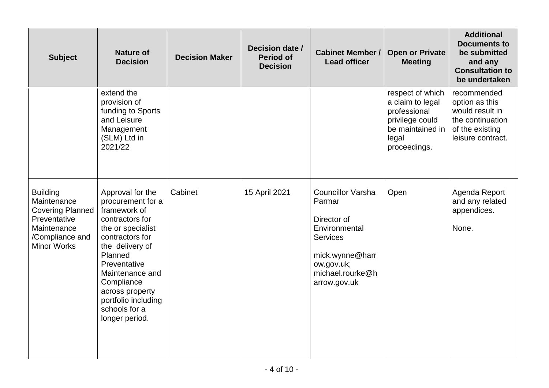| <b>Subject</b>                                                                                                                    | <b>Nature of</b><br><b>Decision</b>                                                                                                                                                                                                                                          | <b>Decision Maker</b> | Decision date /<br><b>Period of</b><br><b>Decision</b> | <b>Cabinet Member /</b><br><b>Lead officer</b>                                                                                                             | <b>Open or Private</b><br><b>Meeting</b>                                                                             | <b>Additional</b><br><b>Documents to</b><br>be submitted<br>and any<br><b>Consultation to</b><br>be undertaken |
|-----------------------------------------------------------------------------------------------------------------------------------|------------------------------------------------------------------------------------------------------------------------------------------------------------------------------------------------------------------------------------------------------------------------------|-----------------------|--------------------------------------------------------|------------------------------------------------------------------------------------------------------------------------------------------------------------|----------------------------------------------------------------------------------------------------------------------|----------------------------------------------------------------------------------------------------------------|
|                                                                                                                                   | extend the<br>provision of<br>funding to Sports<br>and Leisure<br>Management<br>(SLM) Ltd in<br>2021/22                                                                                                                                                                      |                       |                                                        |                                                                                                                                                            | respect of which<br>a claim to legal<br>professional<br>privilege could<br>be maintained in<br>legal<br>proceedings. | recommended<br>option as this<br>would result in<br>the continuation<br>of the existing<br>leisure contract.   |
| <b>Building</b><br>Maintenance<br><b>Covering Planned</b><br>Preventative<br>Maintenance<br>/Compliance and<br><b>Minor Works</b> | Approval for the<br>procurement for a<br>framework of<br>contractors for<br>the or specialist<br>contractors for<br>the delivery of<br>Planned<br>Preventative<br>Maintenance and<br>Compliance<br>across property<br>portfolio including<br>schools for a<br>longer period. | Cabinet               | 15 April 2021                                          | <b>Councillor Varsha</b><br>Parmar<br>Director of<br>Environmental<br><b>Services</b><br>mick.wynne@harr<br>ow.gov.uk;<br>michael.rourke@h<br>arrow.gov.uk | Open                                                                                                                 | Agenda Report<br>and any related<br>appendices.<br>None.                                                       |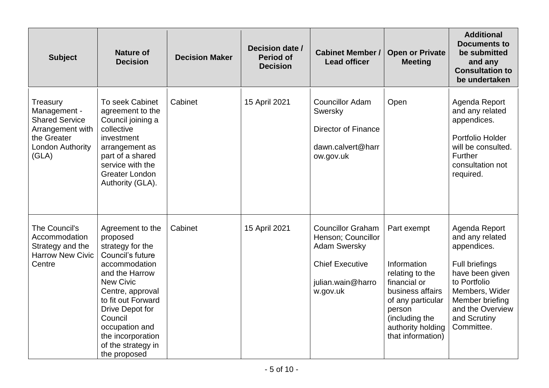| <b>Subject</b>                                                                                                    | <b>Nature of</b><br><b>Decision</b>                                                                                                                                                                                                                                              | <b>Decision Maker</b> | Decision date /<br><b>Period of</b><br><b>Decision</b> | <b>Cabinet Member /</b><br><b>Lead officer</b>                                                                                   | <b>Open or Private</b><br><b>Meeting</b>                                                                                                                                     | <b>Additional</b><br><b>Documents to</b><br>be submitted<br>and any<br><b>Consultation to</b><br>be undertaken                                                                              |
|-------------------------------------------------------------------------------------------------------------------|----------------------------------------------------------------------------------------------------------------------------------------------------------------------------------------------------------------------------------------------------------------------------------|-----------------------|--------------------------------------------------------|----------------------------------------------------------------------------------------------------------------------------------|------------------------------------------------------------------------------------------------------------------------------------------------------------------------------|---------------------------------------------------------------------------------------------------------------------------------------------------------------------------------------------|
| Treasury<br>Management -<br><b>Shared Service</b><br>Arrangement with<br>the Greater<br>London Authority<br>(GLA) | To seek Cabinet<br>agreement to the<br>Council joining a<br>collective<br>investment<br>arrangement as<br>part of a shared<br>service with the<br><b>Greater London</b><br>Authority (GLA).                                                                                      | Cabinet               | 15 April 2021                                          | <b>Councillor Adam</b><br>Swersky<br><b>Director of Finance</b><br>dawn.calvert@harr<br>ow.gov.uk                                | Open                                                                                                                                                                         | Agenda Report<br>and any related<br>appendices.<br>Portfolio Holder<br>will be consulted.<br>Further<br>consultation not<br>required.                                                       |
| The Council's<br>Accommodation<br>Strategy and the<br><b>Harrow New Civic</b><br>Centre                           | Agreement to the<br>proposed<br>strategy for the<br>Council's future<br>accommodation<br>and the Harrow<br><b>New Civic</b><br>Centre, approval<br>to fit out Forward<br>Drive Depot for<br>Council<br>occupation and<br>the incorporation<br>of the strategy in<br>the proposed | Cabinet               | 15 April 2021                                          | <b>Councillor Graham</b><br>Henson; Councillor<br><b>Adam Swersky</b><br><b>Chief Executive</b><br>julian.wain@harro<br>w.gov.uk | Part exempt<br>Information<br>relating to the<br>financial or<br>business affairs<br>of any particular<br>person<br>(including the<br>authority holding<br>that information) | Agenda Report<br>and any related<br>appendices.<br>Full briefings<br>have been given<br>to Portfolio<br>Members, Wider<br>Member briefing<br>and the Overview<br>and Scrutiny<br>Committee. |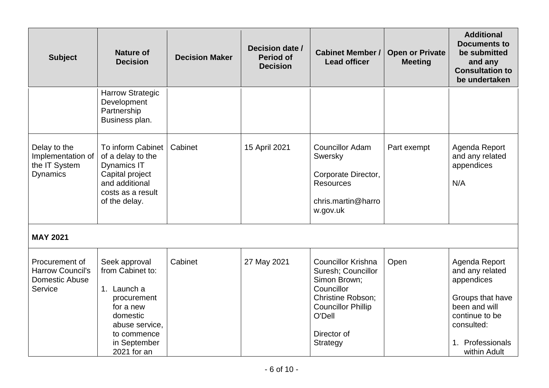| <b>Subject</b>                                                                | <b>Nature of</b><br><b>Decision</b>                                                                                                                      | <b>Decision Maker</b> | Decision date /<br><b>Period of</b><br><b>Decision</b> | <b>Cabinet Member /</b><br><b>Lead officer</b>                                                                                                                              | <b>Open or Private</b><br><b>Meeting</b> | <b>Additional</b><br><b>Documents to</b><br>be submitted<br>and any<br><b>Consultation to</b><br>be undertaken                                             |
|-------------------------------------------------------------------------------|----------------------------------------------------------------------------------------------------------------------------------------------------------|-----------------------|--------------------------------------------------------|-----------------------------------------------------------------------------------------------------------------------------------------------------------------------------|------------------------------------------|------------------------------------------------------------------------------------------------------------------------------------------------------------|
|                                                                               | <b>Harrow Strategic</b><br>Development<br>Partnership<br>Business plan.                                                                                  |                       |                                                        |                                                                                                                                                                             |                                          |                                                                                                                                                            |
| Delay to the<br>Implementation of<br>the IT System<br><b>Dynamics</b>         | To inform Cabinet<br>of a delay to the<br><b>Dynamics IT</b><br>Capital project<br>and additional<br>costs as a result<br>of the delay.                  | Cabinet               | 15 April 2021                                          | <b>Councillor Adam</b><br>Swersky<br>Corporate Director,<br><b>Resources</b><br>chris.martin@harro<br>w.gov.uk                                                              | Part exempt                              | Agenda Report<br>and any related<br>appendices<br>N/A                                                                                                      |
| <b>MAY 2021</b>                                                               |                                                                                                                                                          |                       |                                                        |                                                                                                                                                                             |                                          |                                                                                                                                                            |
| Procurement of<br><b>Harrow Council's</b><br><b>Domestic Abuse</b><br>Service | Seek approval<br>from Cabinet to:<br>1. Launch a<br>procurement<br>for a new<br>domestic<br>abuse service,<br>to commence<br>in September<br>2021 for an | Cabinet               | 27 May 2021                                            | <b>Councillor Krishna</b><br>Suresh; Councillor<br>Simon Brown;<br>Councillor<br>Christine Robson;<br><b>Councillor Phillip</b><br>O'Dell<br>Director of<br><b>Strategy</b> | Open                                     | Agenda Report<br>and any related<br>appendices<br>Groups that have<br>been and will<br>continue to be<br>consulted:<br>Professionals<br>1.<br>within Adult |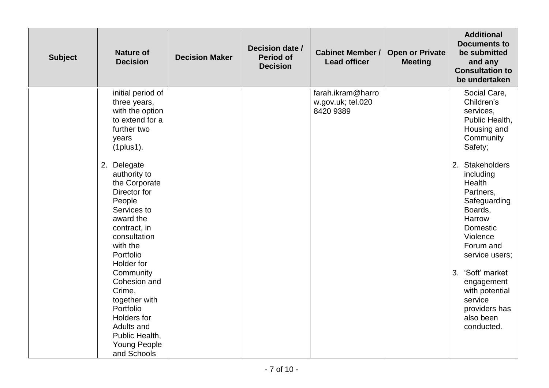| <b>Subject</b> | <b>Nature of</b><br><b>Decision</b>                                                                                                                                                                                                                                                                                                                                                                                                                               | <b>Decision Maker</b> | Decision date /<br><b>Period of</b><br><b>Decision</b> | <b>Cabinet Member /</b><br><b>Lead officer</b>      | <b>Open or Private</b><br><b>Meeting</b> | <b>Additional</b><br><b>Documents to</b><br>be submitted<br>and any<br><b>Consultation to</b><br>be undertaken                                                                                                                                                                                                                                                 |
|----------------|-------------------------------------------------------------------------------------------------------------------------------------------------------------------------------------------------------------------------------------------------------------------------------------------------------------------------------------------------------------------------------------------------------------------------------------------------------------------|-----------------------|--------------------------------------------------------|-----------------------------------------------------|------------------------------------------|----------------------------------------------------------------------------------------------------------------------------------------------------------------------------------------------------------------------------------------------------------------------------------------------------------------------------------------------------------------|
|                | initial period of<br>three years,<br>with the option<br>to extend for a<br>further two<br>years<br>$(1$ plus $1)$ .<br>2. Delegate<br>authority to<br>the Corporate<br>Director for<br>People<br>Services to<br>award the<br>contract, in<br>consultation<br>with the<br>Portfolio<br>Holder for<br>Community<br>Cohesion and<br>Crime,<br>together with<br>Portfolio<br><b>Holders</b> for<br>Adults and<br>Public Health,<br><b>Young People</b><br>and Schools |                       |                                                        | farah.ikram@harro<br>w.gov.uk; tel.020<br>8420 9389 |                                          | Social Care,<br>Children's<br>services,<br>Public Health,<br>Housing and<br>Community<br>Safety;<br>2. Stakeholders<br>including<br>Health<br>Partners,<br>Safeguarding<br>Boards,<br>Harrow<br>Domestic<br>Violence<br>Forum and<br>service users;<br>3. 'Soft' market<br>engagement<br>with potential<br>service<br>providers has<br>also been<br>conducted. |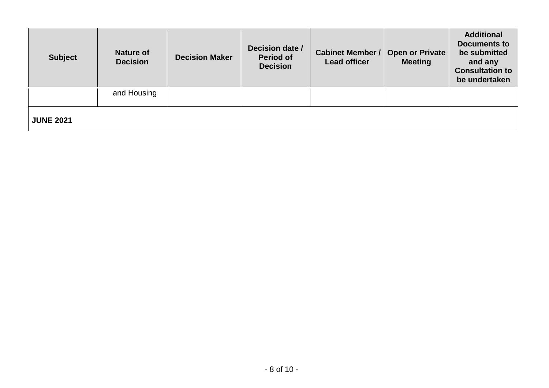| <b>Subject</b>   | <b>Nature of</b><br><b>Decision</b> | <b>Decision Maker</b> | Decision date /<br><b>Period of</b><br><b>Decision</b> | <b>Cabinet Member /</b><br><b>Lead officer</b> | Open or Private<br><b>Meeting</b> | <b>Additional</b><br><b>Documents to</b><br>be submitted<br>and any<br><b>Consultation to</b><br>be undertaken |
|------------------|-------------------------------------|-----------------------|--------------------------------------------------------|------------------------------------------------|-----------------------------------|----------------------------------------------------------------------------------------------------------------|
|                  | and Housing                         |                       |                                                        |                                                |                                   |                                                                                                                |
| <b>JUNE 2021</b> |                                     |                       |                                                        |                                                |                                   |                                                                                                                |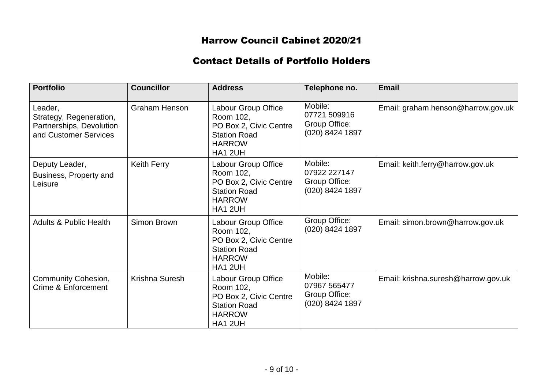## Harrow Council Cabinet 2020/21

### Contact Details of Portfolio Holders

| <b>Portfolio</b>                                                                        | <b>Councillor</b>    | <b>Address</b>                                                                                                       | Telephone no.                                               | <b>Email</b>                        |
|-----------------------------------------------------------------------------------------|----------------------|----------------------------------------------------------------------------------------------------------------------|-------------------------------------------------------------|-------------------------------------|
| Leader,<br>Strategy, Regeneration,<br>Partnerships, Devolution<br>and Customer Services | <b>Graham Henson</b> | Labour Group Office<br>Room 102,<br>PO Box 2, Civic Centre<br><b>Station Road</b><br><b>HARROW</b><br>HA1 2UH        | Mobile:<br>07721 509916<br>Group Office:<br>(020) 8424 1897 | Email: graham.henson@harrow.gov.uk  |
| Deputy Leader,<br>Business, Property and<br>Leisure                                     | <b>Keith Ferry</b>   | Labour Group Office<br>Room 102,<br>PO Box 2, Civic Centre<br><b>Station Road</b><br><b>HARROW</b><br>HA1 2UH        | Mobile:<br>07922 227147<br>Group Office:<br>(020) 8424 1897 | Email: keith.ferry@harrow.gov.uk    |
| <b>Adults &amp; Public Health</b>                                                       | Simon Brown          | Labour Group Office<br>Room 102,<br>PO Box 2, Civic Centre<br><b>Station Road</b><br><b>HARROW</b><br>HA1 2UH        | Group Office:<br>(020) 8424 1897                            | Email: simon.brown@harrow.gov.uk    |
| <b>Community Cohesion,</b><br>Crime & Enforcement                                       | Krishna Suresh       | <b>Labour Group Office</b><br>Room 102,<br>PO Box 2, Civic Centre<br><b>Station Road</b><br><b>HARROW</b><br>HA1 2UH | Mobile:<br>07967 565477<br>Group Office:<br>(020) 8424 1897 | Email: krishna.suresh@harrow.gov.uk |